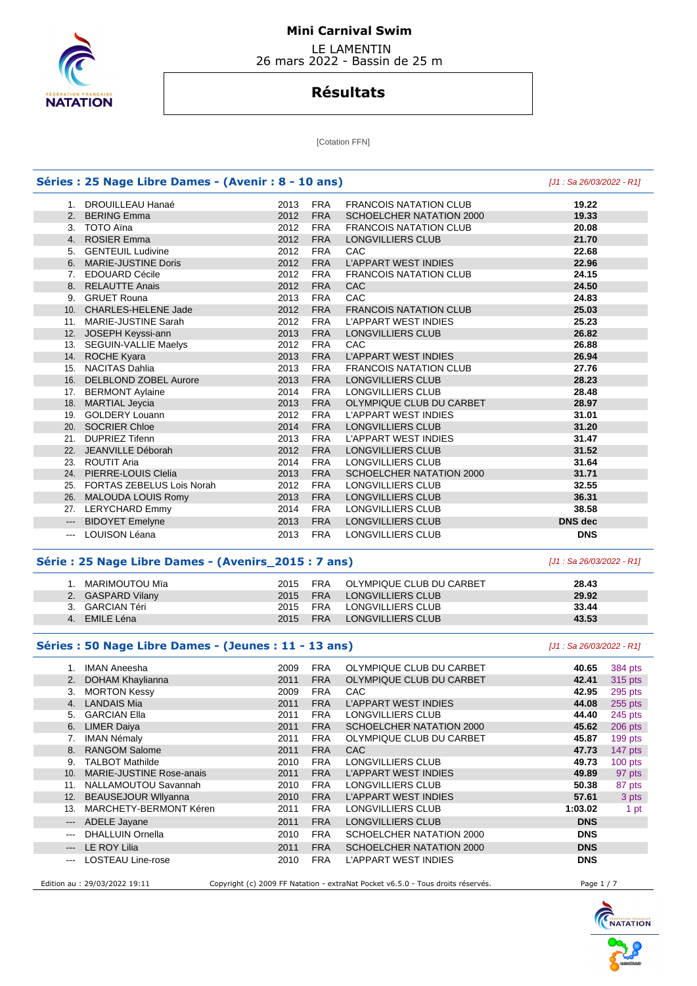

 LE LAMENTIN 26 mars 2022 - Bassin de 25 m

# **Résultats**

[Cotation FFN]

| Séries : 25 Nage Libre Dames - (Avenir : 8 - 10 ans) | [J1 : Sa 26/03/2022 - R1]     |      |            |                               |                |
|------------------------------------------------------|-------------------------------|------|------------|-------------------------------|----------------|
|                                                      | 1. DROUILLEAU Hanaé           | 2013 | <b>FRA</b> | <b>FRANCOIS NATATION CLUB</b> | 19.22          |
|                                                      | 2. BERING Emma                | 2012 | <b>FRA</b> | SCHOELCHER NATATION 2000      | 19.33          |
|                                                      | 3. TOTO Aïna                  | 2012 | <b>FRA</b> | <b>FRANCOIS NATATION CLUB</b> | 20.08          |
|                                                      | 4. ROSIER Emma                | 2012 | <b>FRA</b> | LONGVILLIERS CLUB             | 21.70          |
|                                                      | 5. GENTEUIL Ludivine          | 2012 | <b>FRA</b> | CAC                           | 22.68          |
|                                                      | 6. MARIE-JUSTINE Doris        | 2012 | <b>FRA</b> | <b>L'APPART WEST INDIES</b>   | 22.96          |
|                                                      | 7. EDOUARD Cécile             | 2012 | <b>FRA</b> | <b>FRANCOIS NATATION CLUB</b> | 24.15          |
|                                                      | 8. RELAUTTE Anais             | 2012 | <b>FRA</b> | CAC                           | 24.50          |
|                                                      | 9. GRUET Rouna                | 2013 | <b>FRA</b> | CAC                           | 24.83          |
|                                                      | 10. CHARLES-HELENE Jade       | 2012 | <b>FRA</b> | <b>FRANCOIS NATATION CLUB</b> | 25.03          |
|                                                      | 11. MARIE-JUSTINE Sarah       | 2012 | <b>FRA</b> | <b>L'APPART WEST INDIES</b>   | 25.23          |
| 12.                                                  | JOSEPH Keyssi-ann             | 2013 | <b>FRA</b> | LONGVILLIERS CLUB             | 26.82          |
| 13.                                                  | <b>SEGUIN-VALLIE Maelys</b>   | 2012 | <b>FRA</b> | CAC                           | 26.88          |
|                                                      | 14. ROCHE Kyara               | 2013 | <b>FRA</b> | <b>L'APPART WEST INDIES</b>   | 26.94          |
|                                                      | 15. NACITAS Dahlia            | 2013 | <b>FRA</b> | <b>FRANCOIS NATATION CLUB</b> | 27.76          |
|                                                      | 16. DELBLOND ZOBEL Aurore     | 2013 | <b>FRA</b> | LONGVILLIERS CLUB             | 28.23          |
|                                                      | 17. BERMONT Aylaine           | 2014 | <b>FRA</b> | LONGVILLIERS CLUB             | 28.48          |
| 18.                                                  | <b>MARTIAL Jeycia</b>         | 2013 | <b>FRA</b> | OLYMPIQUE CLUB DU CARBET      | 28.97          |
| 19.                                                  | <b>GOLDERY Louann</b>         | 2012 | <b>FRA</b> | <b>L'APPART WEST INDIES</b>   | 31.01          |
|                                                      | 20. SOCRIER Chloe             | 2014 | <b>FRA</b> | <b>LONGVILLIERS CLUB</b>      | 31.20          |
|                                                      | 21. DUPRIEZ Tifenn            | 2013 | <b>FRA</b> | <b>L'APPART WEST INDIES</b>   | 31.47          |
|                                                      | 22. JEANVILLE Déborah         | 2012 | <b>FRA</b> | LONGVILLIERS CLUB             | 31.52          |
|                                                      | 23. ROUTIT Aria               | 2014 | <b>FRA</b> | <b>LONGVILLIERS CLUB</b>      | 31.64          |
| 24.                                                  | PIERRE-LOUIS Clelia           | 2013 | <b>FRA</b> | SCHOELCHER NATATION 2000      | 31.71          |
|                                                      | 25. FORTAS ZEBELUS Lois Norah | 2012 | <b>FRA</b> | LONGVILLIERS CLUB             | 32.55          |
|                                                      | 26. MALOUDA LOUIS Romy        | 2013 | <b>FRA</b> | LONGVILLIERS CLUB             | 36.31          |
|                                                      | 27. LERYCHARD Emmy            | 2014 | <b>FRA</b> | LONGVILLIERS CLUB             | 38.58          |
| $---$                                                | <b>BIDOYET Emelyne</b>        | 2013 | <b>FRA</b> | <b>LONGVILLIERS CLUB</b>      | <b>DNS</b> dec |
| $\frac{1}{2}$                                        | <b>LOUISON Léana</b>          | 2013 | <b>FRA</b> | <b>LONGVILLIERS CLUB</b>      | <b>DNS</b>     |

#### **Série : 25 Nage Libre Dames - (Avenirs\_2015 : 7 ans)** [J1 : Sa 26/03/2022 - R1]

| MARIMOUTOU Mïa    | 2015 | OLYMPIQUE CLUB DU CARBET<br><b>FRA</b> | 28.43 |
|-------------------|------|----------------------------------------|-------|
| 2. GASPARD Vilany | 2015 | LONGVILLIERS CLUB<br><b>FRA</b>        | 29.92 |
| 3. GARCIAN Téri   | 2015 | LONGVILLIERS CLUB<br>FRA               | 33.44 |
| EMILE Léna        | 2015 | LONGVILLIERS CLUB<br><b>FRA</b>        | 43.53 |

#### **Séries : 50 Nage Libre Dames - (Jeunes : 11 - 13 ans)** [J1 : Sa 26/03/2022 - R1]

 1. IMAN Aneesha 2009 FRA OLYMPIQUE CLUB DU CARBET **40.65** 384 pts 2. DOHAM Khaylianna 2011 FRA OLYMPIQUE CLUB DU CARBET **42.41** 315 pts 3. MORTON Kessy 2009 FRA CAC **42.95** 295 pts 4. LANDAIS Mia 2011 FRA L'APPART WEST INDIES **44.08** 255 pts 5. GARCIAN Ella 2011 FRA LONGVILLIERS CLUB **44.40** 245 pts 6. LIMER Daiya 2011 FRA SCHOELCHER NATATION 2000 **45.62** 206 pts 7. IMAN Némaly 2011 FRA OLYMPIQUE CLUB DU CARBET **45.87** 199 pts 8. RANGOM Salome 2011 FRA CAC **47.73** 147 pts 9. TALBOT Mathilde **49.73** 100 pts 2010 FRA LONGVILLIERS CLUB **49.73** 100 pts 49.73 100 pts 49.89 97 pts 10. MARIE-JUSTINE Rose-anais **2011 FRA L'APPART WEST INDIES** 49.89 11. NALLAMOUTOU Savannah 2010 FRA LONGVILLIERS CLUB **50.38** 87 pts 12. BEAUSEJOUR Wllyanna 2010 FRA L'APPART WEST INDIES **57.61** 3 pts 13. MARCHETY-BERMONT Kéren 2011 FRA LONGVILLIERS CLUB **1:03.02** 1 pt --- ADELE Jayane 2011 FRA LONGVILLIERS CLUB **DNS**  --- DHALLUIN Ornella 2010 FRA SCHOELCHER NATATION 2000 **DNS**  --- LE ROY Lilia 2011 FRA SCHOELCHER NATATION 2000 **DNS**  --- LOSTEAU Line-rose 2010 FRA L'APPART WEST INDIES **DNS**  Edition au : 29/03/2022 19:11 Copyright (c) 2009 FF Natation - extraNat Pocket v6.5.0 - Tous droits réservés.

**NATATION**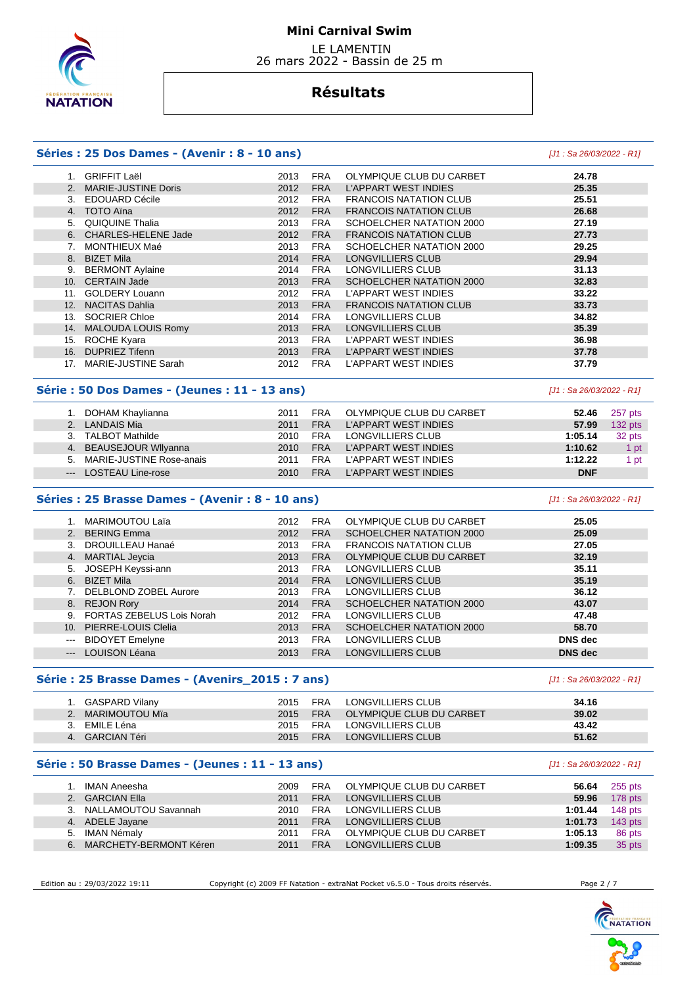

 LE LAMENTIN 26 mars 2022 - Bassin de 25 m

# **Résultats**

## **Séries : 25 Dos Dames - (Avenir : 8 - 10 ans)** [J1 : Sa 26/03/2022 - R1]

#### 1. GRIFFIT Laël 2013 FRA OLYMPIQUE CLUB DU CARBET **24.78**  2. MARIE-JUSTINE Doris 2012 FRA L'APPART WEST INDIES **25.35**  3. EDOUARD Cécile 2012 FRA FRANCOIS NATATION CLUB **25.51**  2012 FRA FRANCOIS NATATION CLUB **26.68**  5. QUIQUINE Thalia 2013 FRA SCHOELCHER NATATION 2000 **27.19**  6. CHARLES-HELENE Jade 2012 FRA FRANCOIS NATATION CLUB **27.73**  7. MONTHIEUX Maé 2013 FRA SCHOELCHER NATATION 2000 **29.25**  8. BIZET Mila 2014 FRA LONGVILLIERS CLUB **29.94**  9. BERMONT Aylaine 2014 FRA LONGVILLIERS CLUB **31.13**  10. CERTAIN Jade 2013 FRA SCHOELCHER NATATION 2000 **32.83**  11. GOLDERY Louann 2012 FRA L'APPART WEST INDIES **33.22**  12. NACITAS Dahlia 2013 FRA FRANCOIS NATATION CLUB **33.73**  13. SOCRIER Chloe 2014 FRA LONGVILLIERS CLUB **34.82**  14. MALOUDA LOUIS Romy 2013 FRA LONGVILLIERS CLUB **35.39**  15. ROCHE Kyara 2013 FRA L'APPART WEST INDIES **36.98**

#### **Série : 50 Dos Dames - (Jeunes : 11 - 13 ans)** [J1 : Sa 26/03/2022 - R1]

| 1. DOHAM Khaylianna         | 2011 | <b>FRA</b> | OLYMPIQUE CLUB DU CARBET | 52.46      | 257 pts   |
|-----------------------------|------|------------|--------------------------|------------|-----------|
| 2. LANDAIS Mia              | 2011 | <b>FRA</b> | L'APPART WEST INDIES     | 57.99      | 132 pts   |
| 3. TALBOT Mathilde          | 2010 | <b>FRA</b> | LONGVILLIERS CLUB        | 1:05.14    | 32 pts    |
| 4. BEAUSEJOUR Wilyanna      | 2010 | <b>FRA</b> | L'APPART WEST INDIES     | 1:10.62    | 1 pt      |
| 5. MARIE-JUSTINE Rose-anais | 2011 | <b>FRA</b> | L'APPART WEST INDIES     | 1:12.22    | <b>pt</b> |
| --- LOSTEAU Line-rose       | 2010 | <b>FRA</b> | L'APPART WEST INDIES     | <b>DNF</b> |           |

 16. DUPRIEZ Tifenn 2013 FRA L'APPART WEST INDIES **37.78**  17. MARIE-JUSTINE Sarah 2012 FRA L'APPART WEST INDIES **37.79** 

#### **Séries : 25 Brasse Dames - (Avenir : 8 - 10 ans)** [J1 : Sa 26/03/2022 - R1]

#### 1. MARIMOUTOU Laïa 2012 FRA OLYMPIQUE CLUB DU CARBET **25.05**  2. BERING Emma 2012 FRA SCHOELCHER NATATION 2000 3. DROUILLEAU Hanaé 2013 FRA FRANCOIS NATATION CLUB **27.05**  4. MARTIAL Jeycia 2013 FRA OLYMPIQUE CLUB DU CARBET **32.19**  5. JOSEPH Keyssi-ann 2013 FRA LONGVILLIERS CLUB **35.11**  6. BIZET Mila 2014 FRA LONGVILLIERS CLUB **35.19**  7. DELBLOND ZOBEL Aurore 2013 FRA LONGVILLIERS CLUB **36.12**  8. REJON Rory 2014 FRA SCHOELCHER NATATION 2000 **43.07**  9. FORTAS ZEBELUS Lois Norah 2012 FRA LONGVILLIERS CLUB **47.48**  10. PIERRE-LOUIS Clelia 2013 FRA SCHOELCHER NATATION 2000 **58.70**  --- BIDOYET Emelyne 2013 FRA LONGVILLIERS CLUB **DNS dec**  --- LOUISON Léana 2013 FRA LONGVILLIERS CLUB **DNS dec**

### **Série : 25 Brasse Dames - (Avenirs\_2015 : 7 ans)** [J1 : Sa 26/03/2022 - R1]

| 1. GASPARD Vilany | 2015 | FRA        | LONGVILLIERS CLUB        | 34.16 |
|-------------------|------|------------|--------------------------|-------|
| MARIMOUTOU Mïa    | 2015 | <b>FRA</b> | OLYMPIQUE CLUB DU CARBET | 39.02 |
| EMILE Léna        | 2015 | FRA        | LONGVILLIERS CLUB        | 43.42 |
| 4. GARCIAN Téri   | 2015 | <b>FRA</b> | LONGVILLIERS CLUB        | 51.62 |

#### **Série : 50 Brasse Dames - (Jeunes : 11 - 13 ans)** [J1 : Sa 26/03/2022 - R1]

| 1. IMAN Aneesha           | 2009 | FRA        | OLYMPIQUE CLUB DU CARBET | 56.64   | 255 pts       |
|---------------------------|------|------------|--------------------------|---------|---------------|
| 2. GARCIAN Ella           | 2011 | <b>FRA</b> | LONGVILLIERS CLUB        |         | 59.96 178 pts |
| 3. NALLAMOUTOU Savannah   | 2010 | <b>FRA</b> | LONGVILLIERS CLUB        | 1:01.44 | 148 $pts$     |
| 4. ADELE Jayane           | 2011 | <b>FRA</b> | LONGVILLIERS CLUB        | 1:01.73 | $143$ pts     |
| 5. IMAN Némaly            | 2011 | <b>FRA</b> | OLYMPIQUE CLUB DU CARBET | 1:05.13 | 86 pts        |
| 6. MARCHETY-BERMONT Kéren | 2011 | <b>FRA</b> | LONGVILLIERS CLUB        | 1:09.35 | 35 pts        |

Edition au : 29/03/2022 19:11 Copyright (c) 2009 FF Natation - extraNat Pocket v6.5.0 - Tous droits réservés. Page 2 / 7



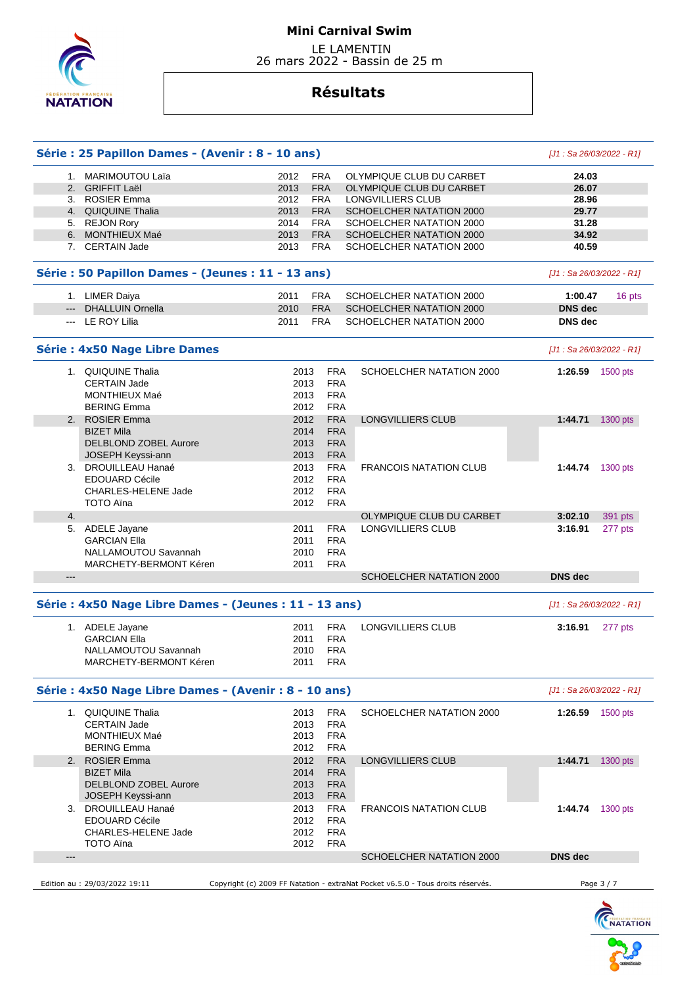

 LE LAMENTIN 26 mars 2022 - Bassin de 25 m

# **Résultats**

|                                                                                                                                                                                                                                                                                                                                                                                                                                                                            | Série : 25 Papillon Dames - (Avenir : 8 - 10 ans)      |      |            |                                                                                 | $[J1: Sa 26/03/2022 - R1]$ |            |
|----------------------------------------------------------------------------------------------------------------------------------------------------------------------------------------------------------------------------------------------------------------------------------------------------------------------------------------------------------------------------------------------------------------------------------------------------------------------------|--------------------------------------------------------|------|------------|---------------------------------------------------------------------------------|----------------------------|------------|
|                                                                                                                                                                                                                                                                                                                                                                                                                                                                            | 1. MARIMOUTOU Laïa                                     | 2012 | <b>FRA</b> | OLYMPIQUE CLUB DU CARBET                                                        | 24.03                      |            |
|                                                                                                                                                                                                                                                                                                                                                                                                                                                                            | 2. GRIFFIT Laël                                        | 2013 | <b>FRA</b> | OLYMPIQUE CLUB DU CARBET                                                        | 26.07                      |            |
|                                                                                                                                                                                                                                                                                                                                                                                                                                                                            | 3. ROSIER Emma                                         | 2012 | <b>FRA</b> | LONGVILLIERS CLUB                                                               | 28.96                      |            |
|                                                                                                                                                                                                                                                                                                                                                                                                                                                                            | 4. QUIQUINE Thalia                                     | 2013 | <b>FRA</b> | SCHOELCHER NATATION 2000                                                        | 29.77                      |            |
|                                                                                                                                                                                                                                                                                                                                                                                                                                                                            | 5. REJON Rory                                          | 2014 | <b>FRA</b> | SCHOELCHER NATATION 2000                                                        | 31.28                      |            |
|                                                                                                                                                                                                                                                                                                                                                                                                                                                                            | 6. MONTHIEUX Maé                                       | 2013 | <b>FRA</b> | SCHOELCHER NATATION 2000                                                        | 34.92                      |            |
|                                                                                                                                                                                                                                                                                                                                                                                                                                                                            | 7. CERTAIN Jade                                        | 2013 | <b>FRA</b> | SCHOELCHER NATATION 2000                                                        | 40.59                      |            |
|                                                                                                                                                                                                                                                                                                                                                                                                                                                                            |                                                        |      |            |                                                                                 |                            |            |
|                                                                                                                                                                                                                                                                                                                                                                                                                                                                            | Série : 50 Papillon Dames - (Jeunes : 11 - 13 ans)     |      |            |                                                                                 | [J1: Sa 26/03/2022 - R1]   |            |
|                                                                                                                                                                                                                                                                                                                                                                                                                                                                            | 1. LIMER Daiya                                         | 2011 | <b>FRA</b> | SCHOELCHER NATATION 2000                                                        | 1:00.47                    | 16 pts     |
| $\frac{1}{2} \left( \frac{1}{2} \right) \left( \frac{1}{2} \right) \left( \frac{1}{2} \right) \left( \frac{1}{2} \right) \left( \frac{1}{2} \right) \left( \frac{1}{2} \right) \left( \frac{1}{2} \right) \left( \frac{1}{2} \right) \left( \frac{1}{2} \right) \left( \frac{1}{2} \right) \left( \frac{1}{2} \right) \left( \frac{1}{2} \right) \left( \frac{1}{2} \right) \left( \frac{1}{2} \right) \left( \frac{1}{2} \right) \left( \frac{1}{2} \right) \left( \frac$ | <b>DHALLUIN Ornella</b>                                | 2010 | <b>FRA</b> | SCHOELCHER NATATION 2000                                                        | <b>DNS</b> dec             |            |
|                                                                                                                                                                                                                                                                                                                                                                                                                                                                            | --- LE ROY Lilia                                       | 2011 | <b>FRA</b> | SCHOELCHER NATATION 2000                                                        | <b>DNS</b> dec             |            |
|                                                                                                                                                                                                                                                                                                                                                                                                                                                                            | <b>Série: 4x50 Nage Libre Dames</b>                    |      |            |                                                                                 | [J1: Sa 26/03/2022 - R1]   |            |
|                                                                                                                                                                                                                                                                                                                                                                                                                                                                            | 1. QUIQUINE Thalia                                     | 2013 | <b>FRA</b> | SCHOELCHER NATATION 2000                                                        | 1:26.59 1500 pts           |            |
|                                                                                                                                                                                                                                                                                                                                                                                                                                                                            | <b>CERTAIN Jade</b>                                    | 2013 | <b>FRA</b> |                                                                                 |                            |            |
|                                                                                                                                                                                                                                                                                                                                                                                                                                                                            | <b>MONTHIEUX Maé</b>                                   | 2013 | <b>FRA</b> |                                                                                 |                            |            |
|                                                                                                                                                                                                                                                                                                                                                                                                                                                                            | <b>BERING Emma</b>                                     | 2012 | <b>FRA</b> |                                                                                 |                            |            |
|                                                                                                                                                                                                                                                                                                                                                                                                                                                                            | 2. ROSIER Emma                                         |      | <b>FRA</b> | LONGVILLIERS CLUB                                                               |                            |            |
|                                                                                                                                                                                                                                                                                                                                                                                                                                                                            |                                                        | 2012 |            |                                                                                 | 1:44.71                    | 1300 pts   |
|                                                                                                                                                                                                                                                                                                                                                                                                                                                                            | <b>BIZET Mila</b>                                      | 2014 | <b>FRA</b> |                                                                                 |                            |            |
|                                                                                                                                                                                                                                                                                                                                                                                                                                                                            | <b>DELBLOND ZOBEL Aurore</b>                           | 2013 | <b>FRA</b> |                                                                                 |                            |            |
|                                                                                                                                                                                                                                                                                                                                                                                                                                                                            | JOSEPH Keyssi-ann                                      | 2013 | <b>FRA</b> |                                                                                 |                            |            |
|                                                                                                                                                                                                                                                                                                                                                                                                                                                                            | 3. DROUILLEAU Hanaé                                    | 2013 | <b>FRA</b> | <b>FRANCOIS NATATION CLUB</b>                                                   | 1:44.74                    | 1300 pts   |
|                                                                                                                                                                                                                                                                                                                                                                                                                                                                            | <b>EDOUARD Cécile</b>                                  | 2012 | <b>FRA</b> |                                                                                 |                            |            |
|                                                                                                                                                                                                                                                                                                                                                                                                                                                                            | <b>CHARLES-HELENE Jade</b>                             | 2012 | <b>FRA</b> |                                                                                 |                            |            |
|                                                                                                                                                                                                                                                                                                                                                                                                                                                                            | <b>TOTO Aïna</b>                                       | 2012 | <b>FRA</b> |                                                                                 |                            |            |
| 4.                                                                                                                                                                                                                                                                                                                                                                                                                                                                         |                                                        |      |            | OLYMPIQUE CLUB DU CARBET                                                        | 3:02.10                    | 391 pts    |
|                                                                                                                                                                                                                                                                                                                                                                                                                                                                            | 5. ADELE Jayane                                        | 2011 | <b>FRA</b> | LONGVILLIERS CLUB                                                               | 3:16.91                    | 277 pts    |
|                                                                                                                                                                                                                                                                                                                                                                                                                                                                            | <b>GARCIAN Ella</b>                                    | 2011 | <b>FRA</b> |                                                                                 |                            |            |
|                                                                                                                                                                                                                                                                                                                                                                                                                                                                            |                                                        |      |            |                                                                                 |                            |            |
|                                                                                                                                                                                                                                                                                                                                                                                                                                                                            | NALLAMOUTOU Savannah                                   | 2010 | <b>FRA</b> |                                                                                 |                            |            |
|                                                                                                                                                                                                                                                                                                                                                                                                                                                                            | MARCHETY-BERMONT Kéren                                 | 2011 | <b>FRA</b> |                                                                                 |                            |            |
| $---$                                                                                                                                                                                                                                                                                                                                                                                                                                                                      |                                                        |      |            | SCHOELCHER NATATION 2000                                                        | <b>DNS</b> dec             |            |
|                                                                                                                                                                                                                                                                                                                                                                                                                                                                            | Série : 4x50 Nage Libre Dames - (Jeunes : 11 - 13 ans) |      |            |                                                                                 | $[J1: Sa 26/03/2022 - R1]$ |            |
|                                                                                                                                                                                                                                                                                                                                                                                                                                                                            | 1. ADELE Jayane                                        | 2011 | <b>FRA</b> | LONGVILLIERS CLUB                                                               | 3:16.91                    | 277 pts    |
|                                                                                                                                                                                                                                                                                                                                                                                                                                                                            | <b>GARCIAN Ella</b>                                    | 2011 | <b>FRA</b> |                                                                                 |                            |            |
|                                                                                                                                                                                                                                                                                                                                                                                                                                                                            | NALLAMOUTOU Savannah                                   | 2010 | <b>FRA</b> |                                                                                 |                            |            |
|                                                                                                                                                                                                                                                                                                                                                                                                                                                                            | MARCHETY-BERMONT Kéren                                 | 2011 | FRA        |                                                                                 |                            |            |
|                                                                                                                                                                                                                                                                                                                                                                                                                                                                            | Série : 4x50 Nage Libre Dames - (Avenir : 8 - 10 ans)  |      |            |                                                                                 | $[J1: Sa 26/03/2022 - R1]$ |            |
|                                                                                                                                                                                                                                                                                                                                                                                                                                                                            | 1. QUIQUINE Thalia                                     | 2013 | <b>FRA</b> | SCHOELCHER NATATION 2000                                                        | 1:26.59 $1500 \text{ pts}$ |            |
|                                                                                                                                                                                                                                                                                                                                                                                                                                                                            | <b>CERTAIN Jade</b>                                    | 2013 | <b>FRA</b> |                                                                                 |                            |            |
|                                                                                                                                                                                                                                                                                                                                                                                                                                                                            | <b>MONTHIEUX Maé</b>                                   | 2013 | <b>FRA</b> |                                                                                 |                            |            |
|                                                                                                                                                                                                                                                                                                                                                                                                                                                                            | <b>BERING Emma</b>                                     | 2012 | <b>FRA</b> |                                                                                 |                            |            |
|                                                                                                                                                                                                                                                                                                                                                                                                                                                                            |                                                        |      |            |                                                                                 |                            |            |
|                                                                                                                                                                                                                                                                                                                                                                                                                                                                            | 2. ROSIER Emma                                         | 2012 | <b>FRA</b> | <b>LONGVILLIERS CLUB</b>                                                        | 1:44.71                    | 1300 pts   |
|                                                                                                                                                                                                                                                                                                                                                                                                                                                                            | <b>BIZET Mila</b>                                      | 2014 | <b>FRA</b> |                                                                                 |                            |            |
|                                                                                                                                                                                                                                                                                                                                                                                                                                                                            | DELBLOND ZOBEL Aurore                                  | 2013 | <b>FRA</b> |                                                                                 |                            |            |
|                                                                                                                                                                                                                                                                                                                                                                                                                                                                            | JOSEPH Keyssi-ann                                      | 2013 | <b>FRA</b> |                                                                                 |                            |            |
|                                                                                                                                                                                                                                                                                                                                                                                                                                                                            | 3. DROUILLEAU Hanaé                                    | 2013 | <b>FRA</b> | <b>FRANCOIS NATATION CLUB</b>                                                   | 1:44.74                    | 1300 pts   |
|                                                                                                                                                                                                                                                                                                                                                                                                                                                                            | <b>EDOUARD Cécile</b>                                  | 2012 | <b>FRA</b> |                                                                                 |                            |            |
|                                                                                                                                                                                                                                                                                                                                                                                                                                                                            | <b>CHARLES-HELENE Jade</b>                             | 2012 | FRA        |                                                                                 |                            |            |
|                                                                                                                                                                                                                                                                                                                                                                                                                                                                            |                                                        |      |            |                                                                                 |                            |            |
| $---$                                                                                                                                                                                                                                                                                                                                                                                                                                                                      | TOTO Aïna                                              | 2012 | <b>FRA</b> | SCHOELCHER NATATION 2000                                                        | <b>DNS</b> dec             |            |
|                                                                                                                                                                                                                                                                                                                                                                                                                                                                            |                                                        |      |            |                                                                                 |                            |            |
|                                                                                                                                                                                                                                                                                                                                                                                                                                                                            | Edition au : 29/03/2022 19:11                          |      |            | Copyright (c) 2009 FF Natation - extraNat Pocket v6.5.0 - Tous droits réservés. |                            | Page 3 / 7 |
|                                                                                                                                                                                                                                                                                                                                                                                                                                                                            |                                                        |      |            |                                                                                 |                            |            |

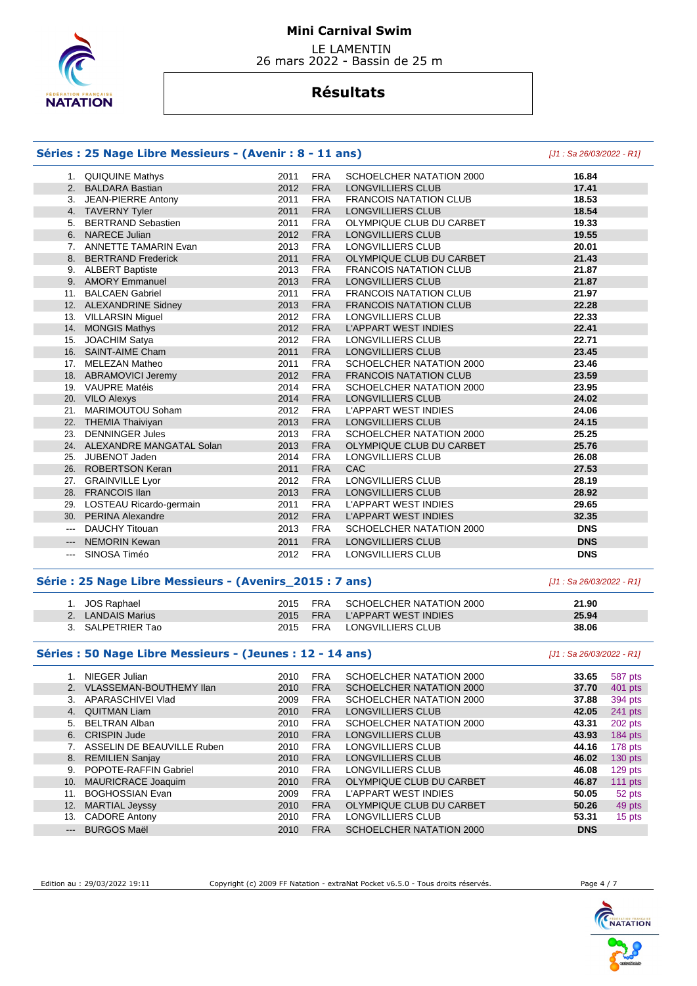

 LE LAMENTIN 26 mars 2022 - Bassin de 25 m

# **Résultats**

### **Séries : 25 Nage Libre Messieurs - (Avenir : 8 - 11 ans)** [J1 : Sa 26/03/2022 - R1]

|                        | 1. QUIQUINE Mathys           | 2011 | <b>FRA</b> | SCHOELCHER NATATION 2000      | 16.84      |
|------------------------|------------------------------|------|------------|-------------------------------|------------|
|                        | 2. BALDARA Bastian           | 2012 | <b>FRA</b> | LONGVILLIERS CLUB             | 17.41      |
|                        | 3. JEAN-PIERRE Antony        | 2011 | <b>FRA</b> | <b>FRANCOIS NATATION CLUB</b> | 18.53      |
|                        | 4. TAVERNY Tyler             | 2011 | <b>FRA</b> | LONGVILLIERS CLUB             | 18.54      |
| 5.                     | <b>BERTRAND Sebastien</b>    | 2011 | <b>FRA</b> | OLYMPIQUE CLUB DU CARBET      | 19.33      |
|                        | 6. NARECE Julian             | 2012 | <b>FRA</b> | <b>LONGVILLIERS CLUB</b>      | 19.55      |
|                        | 7. ANNETTE TAMARIN Evan      | 2013 | <b>FRA</b> | LONGVILLIERS CLUB             | 20.01      |
|                        | 8. BERTRAND Frederick        | 2011 | <b>FRA</b> | OLYMPIQUE CLUB DU CARBET      | 21.43      |
|                        | 9. ALBERT Baptiste           | 2013 | <b>FRA</b> | <b>FRANCOIS NATATION CLUB</b> | 21.87      |
|                        | 9. AMORY Emmanuel            | 2013 | <b>FRA</b> | LONGVILLIERS CLUB             | 21.87      |
| 11.                    | <b>BALCAEN Gabriel</b>       | 2011 | <b>FRA</b> | <b>FRANCOIS NATATION CLUB</b> | 21.97      |
|                        | 12. ALEXANDRINE Sidney       | 2013 | <b>FRA</b> | <b>FRANCOIS NATATION CLUB</b> | 22.28      |
|                        | 13. VILLARSIN Miguel         | 2012 | <b>FRA</b> | LONGVILLIERS CLUB             | 22.33      |
|                        | 14. MONGIS Mathys            | 2012 | <b>FRA</b> | <b>L'APPART WEST INDIES</b>   | 22.41      |
| 15.                    | <b>JOACHIM Satya</b>         | 2012 | <b>FRA</b> | LONGVILLIERS CLUB             | 22.71      |
|                        | 16. SAINT-AIME Cham          | 2011 | <b>FRA</b> | <b>LONGVILLIERS CLUB</b>      | 23.45      |
|                        | 17. MELEZAN Matheo           | 2011 | <b>FRA</b> | SCHOELCHER NATATION 2000      | 23.46      |
|                        | 18. ABRAMOVICI Jeremy        | 2012 | <b>FRA</b> | <b>FRANCOIS NATATION CLUB</b> | 23.59      |
|                        | 19. VAUPRE Matéis            | 2014 | <b>FRA</b> | SCHOELCHER NATATION 2000      | 23.95      |
|                        | 20. VILO Alexys              | 2014 | <b>FRA</b> | LONGVILLIERS CLUB             | 24.02      |
|                        | 21. MARIMOUTOU Soham         | 2012 | <b>FRA</b> | <b>L'APPART WEST INDIES</b>   | 24.06      |
|                        | 22. THEMIA Thaiviyan         | 2013 | <b>FRA</b> | <b>LONGVILLIERS CLUB</b>      | 24.15      |
| 23.                    | <b>DENNINGER Jules</b>       | 2013 | <b>FRA</b> | SCHOELCHER NATATION 2000      | 25.25      |
|                        | 24. ALEXANDRE MANGATAL Solan | 2013 | <b>FRA</b> | OLYMPIQUE CLUB DU CARBET      | 25.76      |
| 25.                    | JUBENOT Jaden                | 2014 | <b>FRA</b> | LONGVILLIERS CLUB             | 26.08      |
|                        | 26. ROBERTSON Keran          | 2011 | <b>FRA</b> | <b>CAC</b>                    | 27.53      |
|                        | 27. GRAINVILLE Lyor          | 2012 | <b>FRA</b> | LONGVILLIERS CLUB             | 28.19      |
|                        | 28. FRANCOIS IIan            | 2013 | <b>FRA</b> | LONGVILLIERS CLUB             | 28.92      |
| 29.                    | LOSTEAU Ricardo-germain      | 2011 | <b>FRA</b> | L'APPART WEST INDIES          | 29.65      |
|                        | 30. PERINA Alexandre         | 2012 | <b>FRA</b> | <b>L'APPART WEST INDIES</b>   | 32.35      |
| $\qquad \qquad -$      | DAUCHY Titouan               | 2013 | <b>FRA</b> | SCHOELCHER NATATION 2000      | <b>DNS</b> |
| $\qquad \qquad \cdots$ | <b>NEMORIN Kewan</b>         | 2011 | <b>FRA</b> | <b>LONGVILLIERS CLUB</b>      | <b>DNS</b> |
| $\cdots$               | SINOSA Timéo                 | 2012 | <b>FRA</b> | LONGVILLIERS CLUB             | <b>DNS</b> |

### **Série : 25 Nage Libre Messieurs - (Avenirs\_2015 : 7 ans)** [J1 : Sa 26/03/2022 - R1]

| 1. JOS Raphael    | 2015     | FRA | SCHOELCHER NATATION 2000      | 21.90 |
|-------------------|----------|-----|-------------------------------|-------|
| 2. LANDAIS Marius |          |     | 2015 FRA L'APPART WEST INDIES | 25.94 |
| 3. SALPETRIER Tao | 2015 FRA |     | LONGVILLIERS CLUB             | 38.06 |

#### **Séries : 50 Nage Libre Messieurs - (Jeunes : 12 - 14 ans)** [J1 : Sa 26/03/2022 - R1]

|          | NIEGER Julian                  | 2010 | <b>FRA</b> | SCHOELCHER NATATION 2000 | 33.65      | 587 pts   |
|----------|--------------------------------|------|------------|--------------------------|------------|-----------|
|          | <b>VLASSEMAN-BOUTHEMY IIan</b> | 2010 | <b>FRA</b> | SCHOELCHER NATATION 2000 | 37.70      | 401 pts   |
| 3.       | APARASCHIVEI Vlad              | 2009 | <b>FRA</b> | SCHOELCHER NATATION 2000 | 37.88      | 394 pts   |
| 4.       | <b>QUITMAN Liam</b>            | 2010 | <b>FRA</b> | LONGVILLIERS CLUB        | 42.05      | 241 pts   |
| 5.       | <b>BELTRAN Alban</b>           | 2010 | <b>FRA</b> | SCHOELCHER NATATION 2000 | 43.31      | 202 pts   |
|          | 6. CRISPIN Jude                | 2010 | <b>FRA</b> | LONGVILLIERS CLUB        | 43.93      | $184$ pts |
|          | ASSELIN DE BEAUVILLE Ruben     | 2010 | <b>FRA</b> | LONGVILLIERS CLUB        | 44.16      | 178 pts   |
|          | 8. REMILIEN Sanjay             | 2010 | <b>FRA</b> | LONGVILLIERS CLUB        | 46.02      | $130$ pts |
| 9.       | POPOTE-RAFFIN Gabriel          | 2010 | <b>FRA</b> | LONGVILLIERS CLUB        | 46.08      | $129$ pts |
| 10.      | MAURICRACE Joaquim             | 2010 | <b>FRA</b> | OLYMPIQUE CLUB DU CARBET | 46.87      | 111 $pts$ |
| 11.      | <b>BOGHOSSIAN Evan</b>         | 2009 | <b>FRA</b> | L'APPART WEST INDIES     | 50.05      | 52 pts    |
| 12.      | <b>MARTIAL Jeyssy</b>          | 2010 | <b>FRA</b> | OLYMPIQUE CLUB DU CARBET | 50.26      | 49 pts    |
| 13.      | <b>CADORE Antony</b>           | 2010 | <b>FRA</b> | LONGVILLIERS CLUB        | 53.31      | 15 pts    |
| $\cdots$ | <b>BURGOS Maël</b>             | 2010 | <b>FRA</b> | SCHOELCHER NATATION 2000 | <b>DNS</b> |           |

Edition au : 29/03/2022 19:11 Copyright (c) 2009 FF Natation - extraNat Pocket v6.5.0 - Tous droits réservés. Page 4 / 7



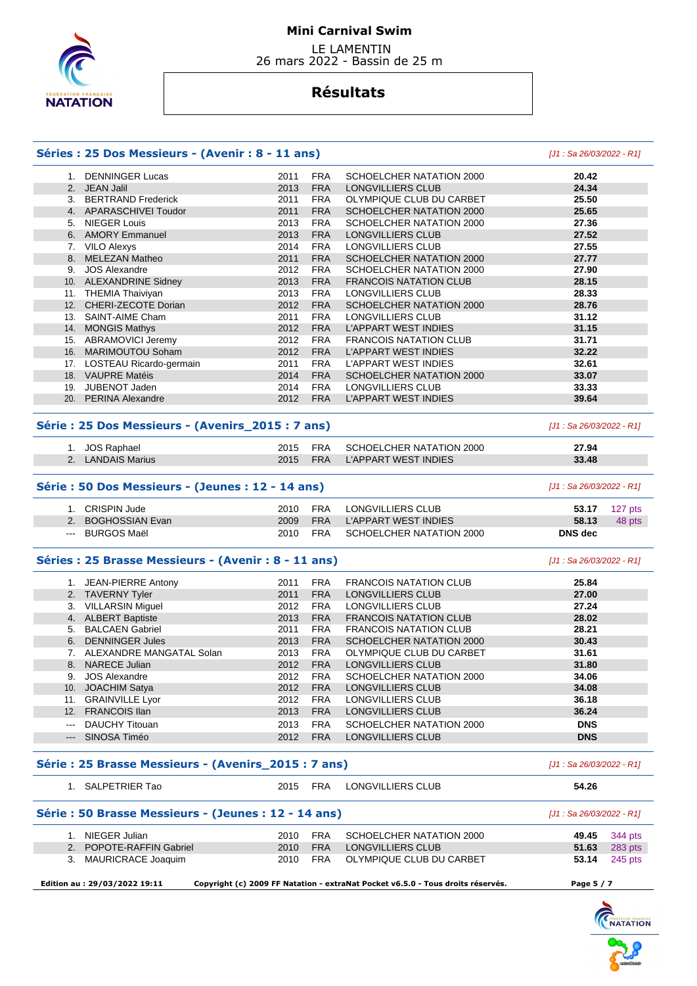

 LE LAMENTIN 26 mars 2022 - Bassin de 25 m

# **Résultats**

## **Séries : 25 Dos Messieurs - (Avenir : 8 - 11 ans)** [J1 : Sa 26/03/2022 - R1]

|                                                                                                                                                                                                                                                                                                                                                                                              | 1. DENNINGER Lucas                                   | 2011 | <b>FRA</b> | SCHOELCHER NATATION 2000      | 20.42                      |         |
|----------------------------------------------------------------------------------------------------------------------------------------------------------------------------------------------------------------------------------------------------------------------------------------------------------------------------------------------------------------------------------------------|------------------------------------------------------|------|------------|-------------------------------|----------------------------|---------|
|                                                                                                                                                                                                                                                                                                                                                                                              | 2. JEAN Jalil                                        | 2013 | <b>FRA</b> | LONGVILLIERS CLUB             | 24.34                      |         |
|                                                                                                                                                                                                                                                                                                                                                                                              | 3. BERTRAND Frederick                                | 2011 | <b>FRA</b> | OLYMPIQUE CLUB DU CARBET      | 25.50                      |         |
|                                                                                                                                                                                                                                                                                                                                                                                              | 4. APARASCHIVEI Toudor                               | 2011 | <b>FRA</b> | SCHOELCHER NATATION 2000      | 25.65                      |         |
|                                                                                                                                                                                                                                                                                                                                                                                              | 5. NIEGER Louis                                      | 2013 | <b>FRA</b> | SCHOELCHER NATATION 2000      | 27.36                      |         |
|                                                                                                                                                                                                                                                                                                                                                                                              | 6. AMORY Emmanuel                                    | 2013 | <b>FRA</b> | LONGVILLIERS CLUB             | 27.52                      |         |
|                                                                                                                                                                                                                                                                                                                                                                                              | 7. VILO Alexys                                       | 2014 | <b>FRA</b> | LONGVILLIERS CLUB             | 27.55                      |         |
|                                                                                                                                                                                                                                                                                                                                                                                              | 8. MELEZAN Matheo                                    | 2011 | <b>FRA</b> | SCHOELCHER NATATION 2000      | 27.77                      |         |
|                                                                                                                                                                                                                                                                                                                                                                                              | 9. JOS Alexandre                                     | 2012 | <b>FRA</b> | SCHOELCHER NATATION 2000      | 27.90                      |         |
|                                                                                                                                                                                                                                                                                                                                                                                              | 10. ALEXANDRINE Sidney                               | 2013 | <b>FRA</b> | <b>FRANCOIS NATATION CLUB</b> | 28.15                      |         |
|                                                                                                                                                                                                                                                                                                                                                                                              | 11. THEMIA Thaiviyan                                 | 2013 | <b>FRA</b> | LONGVILLIERS CLUB             | 28.33                      |         |
|                                                                                                                                                                                                                                                                                                                                                                                              | 12. CHERI-ZECOTE Dorian                              | 2012 | <b>FRA</b> | SCHOELCHER NATATION 2000      | 28.76                      |         |
|                                                                                                                                                                                                                                                                                                                                                                                              | 13. SAINT-AIME Cham                                  | 2011 | <b>FRA</b> | LONGVILLIERS CLUB             | 31.12                      |         |
|                                                                                                                                                                                                                                                                                                                                                                                              | 14. MONGIS Mathys                                    | 2012 | <b>FRA</b> | L'APPART WEST INDIES          | 31.15                      |         |
|                                                                                                                                                                                                                                                                                                                                                                                              | 15. ABRAMOVICI Jeremy                                | 2012 | <b>FRA</b> | <b>FRANCOIS NATATION CLUB</b> | 31.71                      |         |
|                                                                                                                                                                                                                                                                                                                                                                                              | 16. MARIMOUTOU Soham                                 | 2012 | <b>FRA</b> | L'APPART WEST INDIES          | 32.22                      |         |
|                                                                                                                                                                                                                                                                                                                                                                                              | 17. LOSTEAU Ricardo-germain                          | 2011 | <b>FRA</b> | L'APPART WEST INDIES          | 32.61                      |         |
|                                                                                                                                                                                                                                                                                                                                                                                              | 18. VAUPRE Matéis                                    | 2014 | <b>FRA</b> | SCHOELCHER NATATION 2000      | 33.07                      |         |
|                                                                                                                                                                                                                                                                                                                                                                                              | 19. JUBENOT Jaden                                    | 2014 | <b>FRA</b> | LONGVILLIERS CLUB             | 33.33                      |         |
|                                                                                                                                                                                                                                                                                                                                                                                              | 20. PERINA Alexandre                                 | 2012 | <b>FRA</b> | <b>L'APPART WEST INDIES</b>   | 39.64                      |         |
|                                                                                                                                                                                                                                                                                                                                                                                              |                                                      |      |            |                               |                            |         |
|                                                                                                                                                                                                                                                                                                                                                                                              | Série : 25 Dos Messieurs - (Avenirs_2015 : 7 ans)    |      |            |                               | [J1 : Sa 26/03/2022 - R1]  |         |
|                                                                                                                                                                                                                                                                                                                                                                                              | 1. JOS Raphael                                       | 2015 | <b>FRA</b> | SCHOELCHER NATATION 2000      | 27.94                      |         |
|                                                                                                                                                                                                                                                                                                                                                                                              | 2. LANDAIS Marius                                    | 2015 | <b>FRA</b> | <b>L'APPART WEST INDIES</b>   | 33.48                      |         |
|                                                                                                                                                                                                                                                                                                                                                                                              | Série : 50 Dos Messieurs - (Jeunes : 12 - 14 ans)    |      |            |                               | $[J1: Sa 26/03/2022 - R1]$ |         |
|                                                                                                                                                                                                                                                                                                                                                                                              | 1. CRISPIN Jude                                      | 2010 | <b>FRA</b> | LONGVILLIERS CLUB             | 53.17                      | 127 pts |
|                                                                                                                                                                                                                                                                                                                                                                                              | 2. BOGHOSSIAN Evan                                   | 2009 | <b>FRA</b> | <b>L'APPART WEST INDIES</b>   | 58.13                      | 48 pts  |
| $\frac{1}{2} \frac{1}{2} \frac{1}{2} \frac{1}{2} \frac{1}{2} \frac{1}{2} \frac{1}{2} \frac{1}{2} \frac{1}{2} \frac{1}{2} \frac{1}{2} \frac{1}{2} \frac{1}{2} \frac{1}{2} \frac{1}{2} \frac{1}{2} \frac{1}{2} \frac{1}{2} \frac{1}{2} \frac{1}{2} \frac{1}{2} \frac{1}{2} \frac{1}{2} \frac{1}{2} \frac{1}{2} \frac{1}{2} \frac{1}{2} \frac{1}{2} \frac{1}{2} \frac{1}{2} \frac{1}{2} \frac{$ | <b>BURGOS Maël</b>                                   | 2010 | <b>FRA</b> | SCHOELCHER NATATION 2000      | <b>DNS</b> dec             |         |
|                                                                                                                                                                                                                                                                                                                                                                                              | Séries : 25 Brasse Messieurs - (Avenir : 8 - 11 ans) |      |            |                               | [J1: Sa 26/03/2022 - R1]   |         |
|                                                                                                                                                                                                                                                                                                                                                                                              | 1. JEAN-PIERRE Antony                                | 2011 | <b>FRA</b> | <b>FRANCOIS NATATION CLUB</b> | 25.84                      |         |
|                                                                                                                                                                                                                                                                                                                                                                                              | 2. TAVERNY Tyler                                     | 2011 | <b>FRA</b> | LONGVILLIERS CLUB             | 27.00                      |         |
|                                                                                                                                                                                                                                                                                                                                                                                              | 3. VILLARSIN Miguel                                  | 2012 | <b>FRA</b> | LONGVILLIERS CLUB             | 27.24                      |         |
|                                                                                                                                                                                                                                                                                                                                                                                              | 4. ALBERT Baptiste                                   | 2013 | <b>FRA</b> | <b>FRANCOIS NATATION CLUB</b> | 28.02                      |         |
|                                                                                                                                                                                                                                                                                                                                                                                              | 5. BALCAEN Gabriel                                   | 2011 | <b>FRA</b> | <b>FRANCOIS NATATION CLUB</b> | 28.21                      |         |
|                                                                                                                                                                                                                                                                                                                                                                                              | 6. DENNINGER Jules                                   | 2013 | <b>FRA</b> | SCHOELCHER NATATION 2000      | 30.43                      |         |
|                                                                                                                                                                                                                                                                                                                                                                                              | 7. ALEXANDRE MANGATAL Solan                          | 2013 | <b>FRA</b> | OLYMPIQUE CLUB DU CARBET      | 31.61                      |         |
|                                                                                                                                                                                                                                                                                                                                                                                              | 8. NARECE Julian                                     | 2012 | <b>FRA</b> | <b>LONGVILLIERS CLUB</b>      | 31.80                      |         |
|                                                                                                                                                                                                                                                                                                                                                                                              | 9. JOS Alexandre                                     | 2012 | <b>FRA</b> | SCHOELCHER NATATION 2000      | 34.06                      |         |
|                                                                                                                                                                                                                                                                                                                                                                                              | 10. JOACHIM Satya                                    | 2012 | <b>FRA</b> | LONGVILLIERS CLUB             | 34.08                      |         |
|                                                                                                                                                                                                                                                                                                                                                                                              | 11. GRAINVILLE Lyor                                  | 2012 | <b>FRA</b> | LONGVILLIERS CLUB             | 36.18                      |         |
|                                                                                                                                                                                                                                                                                                                                                                                              | 12. FRANCOIS IIan                                    | 2013 | <b>FRA</b> | LONGVILLIERS CLUB             | 36.24                      |         |
|                                                                                                                                                                                                                                                                                                                                                                                              | DAUCHY Titouan                                       | 2013 | <b>FRA</b> | SCHOELCHER NATATION 2000      | <b>DNS</b>                 |         |
| $\qquad \qquad - -$                                                                                                                                                                                                                                                                                                                                                                          | SINOSA Timéo                                         | 2012 | <b>FRA</b> | LONGVILLIERS CLUB             | <b>DNS</b>                 |         |
|                                                                                                                                                                                                                                                                                                                                                                                              | Série: 25 Brasse Messieurs - (Avenirs_2015: 7 ans)   |      |            |                               | $[J1: Sa 26/03/2022 - R1]$ |         |
|                                                                                                                                                                                                                                                                                                                                                                                              | 1. SALPETRIER Tao                                    | 2015 | <b>FRA</b> | LONGVILLIERS CLUB             | 54.26                      |         |
|                                                                                                                                                                                                                                                                                                                                                                                              | Série : 50 Brasse Messieurs - (Jeunes : 12 - 14 ans) |      |            |                               | [J1: Sa 26/03/2022 - R1]   |         |
|                                                                                                                                                                                                                                                                                                                                                                                              | 1. NIEGER Julian                                     | 2010 | <b>FRA</b> | SCHOELCHER NATATION 2000      | 49.45                      | 344 pts |
|                                                                                                                                                                                                                                                                                                                                                                                              | 2. POPOTE-RAFFIN Gabriel                             | 2010 | <b>FRA</b> | LONGVILLIERS CLUB             | 51.63                      | 283 pts |
|                                                                                                                                                                                                                                                                                                                                                                                              | 3. MAURICRACE Joaquim                                | 2010 | FRA        | OLYMPIQUE CLUB DU CARBET      | 53.14                      | 245 pts |
|                                                                                                                                                                                                                                                                                                                                                                                              |                                                      |      |            |                               |                            |         |

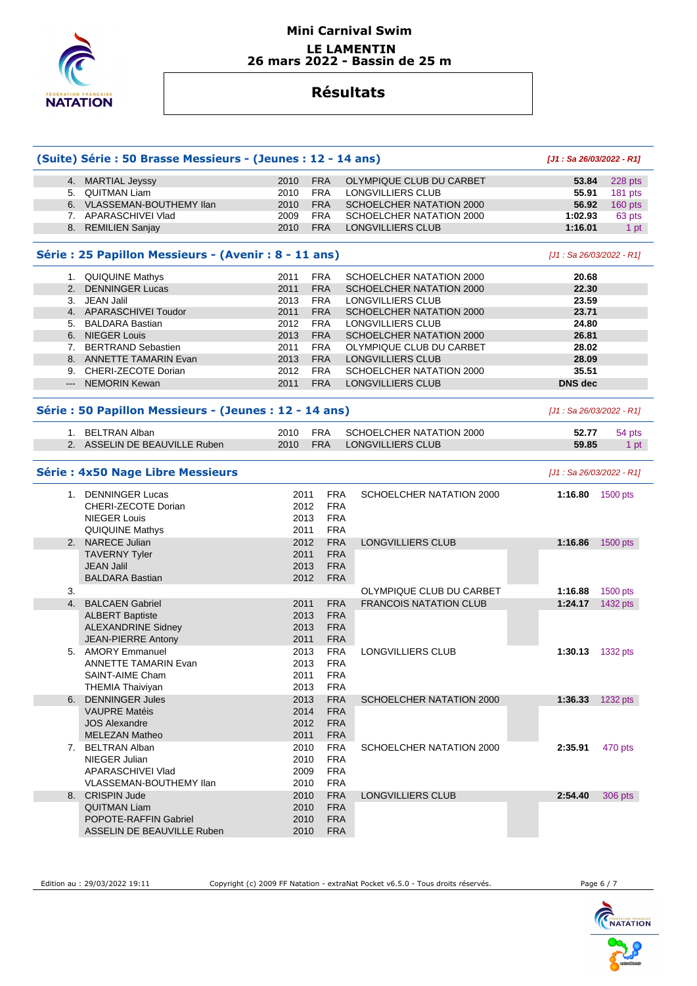

## **Mini Carnival Swim LE LAMENTIN 26 mars 2022 - Bassin de 25 m**

# **Résultats**

|    | (Suite) Série : 50 Brasse Messieurs - (Jeunes : 12 - 14 ans)                               |                              |                                                      |                               | [J1: Sa 26/03/2022 - R1]  |            |
|----|--------------------------------------------------------------------------------------------|------------------------------|------------------------------------------------------|-------------------------------|---------------------------|------------|
|    | 4. MARTIAL Jeyssy                                                                          | 2010                         | <b>FRA</b>                                           | OLYMPIQUE CLUB DU CARBET      | 53.84                     | 228 pts    |
|    | 5. QUITMAN Liam                                                                            | 2010                         | <b>FRA</b>                                           | LONGVILLIERS CLUB             | 55.91                     | 181 pts    |
|    | 6. VLASSEMAN-BOUTHEMY Ilan                                                                 | 2010                         | <b>FRA</b>                                           | SCHOELCHER NATATION 2000      | 56.92                     | $160$ pts  |
|    | 7. APARASCHIVEI Vlad                                                                       | 2009                         | <b>FRA</b>                                           | SCHOELCHER NATATION 2000      | 1:02.93                   | 63 pts     |
|    | 8. REMILIEN Sanjay                                                                         | 2010                         | <b>FRA</b>                                           | <b>LONGVILLIERS CLUB</b>      | 1:16.01                   | 1 pt       |
|    | Série : 25 Papillon Messieurs - (Avenir : 8 - 11 ans)                                      |                              |                                                      |                               | [J1 : Sa 26/03/2022 - R1] |            |
|    | 1. QUIQUINE Mathys                                                                         | 2011                         | <b>FRA</b>                                           | SCHOELCHER NATATION 2000      | 20.68                     |            |
|    | 2. DENNINGER Lucas                                                                         | 2011                         | <b>FRA</b>                                           | SCHOELCHER NATATION 2000      | 22.30                     |            |
|    | 3. JEAN Jalil                                                                              | 2013                         | <b>FRA</b>                                           | LONGVILLIERS CLUB             | 23.59                     |            |
|    | 4. APARASCHIVEI Toudor                                                                     | 2011                         | <b>FRA</b>                                           | SCHOELCHER NATATION 2000      | 23.71                     |            |
|    | 5. BALDARA Bastian                                                                         | 2012                         | <b>FRA</b>                                           | LONGVILLIERS CLUB             | 24.80                     |            |
|    | 6. NIEGER Louis                                                                            | 2013                         | <b>FRA</b>                                           | SCHOELCHER NATATION 2000      | 26.81                     |            |
|    | 7. BERTRAND Sebastien                                                                      | 2011                         | <b>FRA</b>                                           | OLYMPIQUE CLUB DU CARBET      | 28.02                     |            |
|    | 8. ANNETTE TAMARIN Evan                                                                    | 2013                         | <b>FRA</b>                                           | LONGVILLIERS CLUB             | 28.09                     |            |
|    | 9. CHERI-ZECOTE Dorian                                                                     | 2012                         | <b>FRA</b>                                           | SCHOELCHER NATATION 2000      | 35.51                     |            |
|    | --- NEMORIN Kewan                                                                          | 2011                         | <b>FRA</b>                                           | LONGVILLIERS CLUB             | <b>DNS dec</b>            |            |
|    | Série : 50 Papillon Messieurs - (Jeunes : 12 - 14 ans)                                     |                              |                                                      |                               | [J1: Sa 26/03/2022 - R1]  |            |
|    | 1. BELTRAN Alban                                                                           | 2010                         | <b>FRA</b>                                           | SCHOELCHER NATATION 2000      | 52.77                     | 54 pts     |
|    | 2. ASSELIN DE BEAUVILLE Ruben                                                              | 2010                         | <b>FRA</b>                                           | LONGVILLIERS CLUB             | 59.85                     | 1 pt       |
|    | <b>Série : 4x50 Nage Libre Messieurs</b>                                                   |                              |                                                      |                               | [J1 : Sa 26/03/2022 - R1] |            |
|    | 1. DENNINGER Lucas<br>CHERI-ZECOTE Dorian<br><b>NIEGER Louis</b><br><b>QUIQUINE Mathys</b> | 2011<br>2012<br>2013<br>2011 | <b>FRA</b><br><b>FRA</b><br><b>FRA</b><br><b>FRA</b> | SCHOELCHER NATATION 2000      | 1:16.80                   | 1500 pts   |
|    | 2. NARECE Julian                                                                           | 2012                         | <b>FRA</b>                                           | LONGVILLIERS CLUB             | 1:16.86                   | 1500 pts   |
|    | <b>TAVERNY Tyler</b>                                                                       | 2011                         | <b>FRA</b>                                           |                               |                           |            |
|    | <b>JEAN Jalil</b>                                                                          | 2013                         | <b>FRA</b>                                           |                               |                           |            |
|    | <b>BALDARA Bastian</b>                                                                     | 2012                         | <b>FRA</b>                                           |                               |                           |            |
| 3. |                                                                                            |                              |                                                      | OLYMPIQUE CLUB DU CARBET      | 1:16.88                   | 1500 pts   |
| 4. | <b>BALCAEN Gabriel</b>                                                                     | 2011                         | <b>FRA</b>                                           | <b>FRANCOIS NATATION CLUB</b> | 1:24.17                   | 1432 pts   |
|    | <b>ALBERT Baptiste</b>                                                                     | 2013                         | <b>FRA</b>                                           |                               |                           |            |
|    | <b>ALEXANDRINE Sidney</b>                                                                  | 2013                         | <b>FRA</b>                                           |                               |                           |            |
|    | <b>JEAN-PIERRE Antony</b>                                                                  | 2011                         | <b>FRA</b>                                           |                               |                           |            |
|    | 5. AMORY Emmanuel                                                                          | 2013                         | <b>FRA</b>                                           | LONGVILLIERS CLUB             | 1:30.13                   | 1332 pts   |
|    | <b>ANNETTE TAMARIN Evan</b>                                                                | 2013                         | <b>FRA</b>                                           |                               |                           |            |
|    | <b>SAINT-AIME Cham</b>                                                                     | 2011                         | <b>FRA</b>                                           |                               |                           |            |
|    | <b>THEMIA Thaiviyan</b>                                                                    | 2013                         | <b>FRA</b>                                           |                               |                           |            |
| 6. | <b>DENNINGER Jules</b>                                                                     | 2013                         | <b>FRA</b>                                           | SCHOELCHER NATATION 2000      | 1:36.33                   | 1232 $pts$ |
|    | <b>VAUPRE Matéis</b>                                                                       | 2014                         | <b>FRA</b>                                           |                               |                           |            |
|    | <b>JOS Alexandre</b>                                                                       | 2012                         | <b>FRA</b>                                           |                               |                           |            |
|    | <b>MELEZAN Matheo</b>                                                                      | 2011                         | <b>FRA</b>                                           |                               |                           |            |
|    | 7. BELTRAN Alban                                                                           | 2010                         | <b>FRA</b>                                           | SCHOELCHER NATATION 2000      | 2:35.91                   | 470 pts    |
|    | NIEGER Julian                                                                              | 2010                         | <b>FRA</b>                                           |                               |                           |            |
|    | APARASCHIVEI Vlad                                                                          | 2009                         | <b>FRA</b>                                           |                               |                           |            |
|    | VLASSEMAN-BOUTHEMY Ilan                                                                    | 2010                         | <b>FRA</b>                                           |                               |                           |            |
| 8. | <b>CRISPIN Jude</b>                                                                        | 2010                         | <b>FRA</b>                                           | <b>LONGVILLIERS CLUB</b>      | 2:54.40                   | 306 pts    |
|    | <b>QUITMAN Liam</b>                                                                        | 2010                         | <b>FRA</b>                                           |                               |                           |            |
|    | <b>POPOTE-RAFFIN Gabriel</b>                                                               | 2010                         | <b>FRA</b>                                           |                               |                           |            |
|    | ASSELIN DE BEAUVILLE Ruben                                                                 | 2010                         | <b>FRA</b>                                           |                               |                           |            |

Edition au : 29/03/2022 19:11 Copyright (c) 2009 FF Natation - extraNat Pocket v6.5.0 - Tous droits réservés. Page 6 / 7